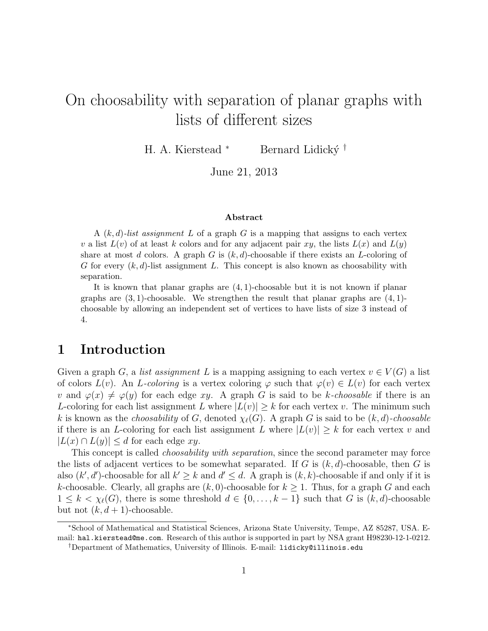# On choosability with separation of planar graphs with lists of different sizes

H. A. Kierstead \* Bernard Lidický †

June 21, 2013

#### Abstract

A  $(k, d)$ -list assignment L of a graph G is a mapping that assigns to each vertex v a list  $L(v)$  of at least k colors and for any adjacent pair xy, the lists  $L(x)$  and  $L(y)$ share at most d colors. A graph G is  $(k, d)$ -choosable if there exists an L-coloring of G for every  $(k, d)$ -list assignment L. This concept is also known as choosability with separation.

It is known that planar graphs are  $(4, 1)$ -choosable but it is not known if planar graphs are  $(3, 1)$ -choosable. We strengthen the result that planar graphs are  $(4, 1)$ choosable by allowing an independent set of vertices to have lists of size 3 instead of 4.

## <span id="page-0-0"></span>1 Introduction

Given a graph G, a list assignment L is a mapping assigning to each vertex  $v \in V(G)$  a list of colors  $L(v)$ . An L-coloring is a vertex coloring  $\varphi$  such that  $\varphi(v) \in L(v)$  for each vertex v and  $\varphi(x) \neq \varphi(y)$  for each edge xy. A graph G is said to be k-choosable if there is an L-coloring for each list assignment L where  $|L(v)| \geq k$  for each vertex v. The minimum such k is known as the *choosability* of G, denoted  $\chi_{\ell}(G)$ . A graph G is said to be  $(k, d)$ -choosable if there is an L-coloring for each list assignment L where  $|L(v)| \geq k$  for each vertex v and  $|L(x) \cap L(y)| \leq d$  for each edge xy.

This concept is called *choosability with separation*, since the second parameter may force the lists of adjacent vertices to be somewhat separated. If G is  $(k, d)$ -choosable, then G is also  $(k', d')$ -choosable for all  $k' \geq k$  and  $d' \leq d$ . A graph is  $(k, k)$ -choosable if and only if it is k-choosable. Clearly, all graphs are  $(k, 0)$ -choosable for  $k \ge 1$ . Thus, for a graph G and each  $1 \leq k < \chi_{\ell}(G)$ , there is some threshold  $d \in \{0, \ldots, k-1\}$  such that G is  $(k, d)$ -choosable but not  $(k, d + 1)$ -choosable.

<sup>∗</sup>School of Mathematical and Statistical Sciences, Arizona State University, Tempe, AZ 85287, USA. Email: hal.kierstead@me.com. Research of this author is supported in part by NSA grant H98230-12-1-0212. †Department of Mathematics, University of Illinois. E-mail: lidicky@illinois.edu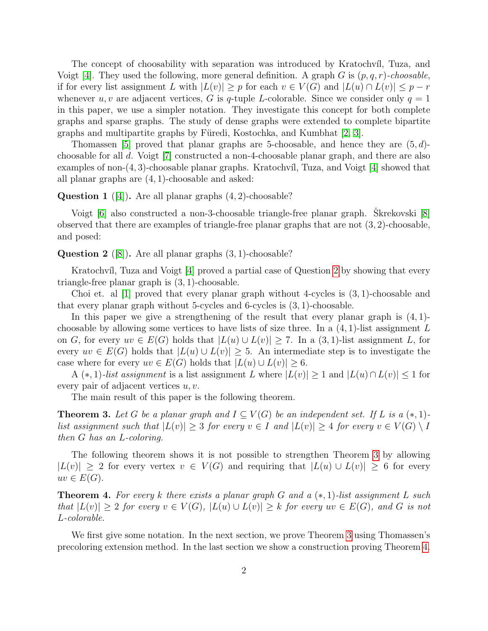The concept of choosability with separation was introduced by Kratochvíl, Tuza, and Voigt [\[4\]](#page-6-0). They used the following, more general definition. A graph G is  $(p, q, r)$ -choosable, if for every list assignment L with  $|L(v)| \geq p$  for each  $v \in V(G)$  and  $|L(u) \cap L(v)| \leq p - r$ whenever u, v are adjacent vertices, G is q-tuple L-colorable. Since we consider only  $q = 1$ in this paper, we use a simpler notation. They investigate this concept for both complete graphs and sparse graphs. The study of dense graphs were extended to complete bipartite graphs and multipartite graphs by Füredi, Kostochka, and Kumbhat  $[2, 3]$  $[2, 3]$ .

Thomassen [\[5\]](#page-6-3) proved that planar graphs are 5-choosable, and hence they are  $(5, d)$ choosable for all d. Voigt [\[7\]](#page-6-4) constructed a non-4-choosable planar graph, and there are also examples of non- $(4, 3)$ -choosable planar graphs. Kratochvíl, Tuza, and Voigt [\[4\]](#page-6-0) showed that all planar graphs are (4, 1)-choosable and asked:

### <span id="page-1-3"></span>**Question 1** ([\[4\]](#page-6-0)). Are all planar graphs  $(4, 2)$ -choosable?

Voigt  $[6]$  also constructed a non-3-choosable triangle-free planar graph. Skrekovski  $[8]$ observed that there are examples of triangle-free planar graphs that are not  $(3, 2)$ -choosable, and posed:

<span id="page-1-0"></span>**Question 2** ([\[8\]](#page-6-6)). Are all planar graphs  $(3, 1)$ -choosable?

Kratochvíl, Tuza and Voigt [\[4\]](#page-6-0) proved a partial case of Question [2](#page-1-0) by showing that every triangle-free planar graph is (3, 1)-choosable.

Choi et. al  $[1]$  proved that every planar graph without 4-cycles is  $(3, 1)$ -choosable and that every planar graph without 5-cycles and 6-cycles is (3, 1)-choosable.

In this paper we give a strengthening of the result that every planar graph is  $(4, 1)$ choosable by allowing some vertices to have lists of size three. In a  $(4, 1)$ -list assignment L on G, for every  $uv \in E(G)$  holds that  $|L(u) \cup L(v)| \ge 7$ . In a  $(3, 1)$ -list assignment L, for every  $uv \in E(G)$  holds that  $|L(u) \cup L(v)| \geq 5$ . An intermediate step is to investigate the case where for every  $uv \in E(G)$  holds that  $|L(u) \cup L(v)| \geq 6$ .

A  $(*,1)$ -list assignment is a list assignment L where  $|L(v)| \geq 1$  and  $|L(u) \cap L(v)| \leq 1$  for every pair of adjacent vertices  $u, v$ .

The main result of this paper is the following theorem.

<span id="page-1-1"></span>**Theorem 3.** Let G be a planar graph and  $I \subseteq V(G)$  be an independent set. If L is a  $(*, 1)$ list assignment such that  $|L(v)| \geq 3$  for every  $v \in I$  and  $|L(v)| \geq 4$  for every  $v \in V(G) \setminus I$ then G has an L-coloring.

The following theorem shows it is not possible to strengthen Theorem [3](#page-1-1) by allowing  $|L(v)| \geq 2$  for every vertex  $v \in V(G)$  and requiring that  $|L(u) \cup L(v)| \geq 6$  for every  $uv \in E(G)$ .

<span id="page-1-2"></span>**Theorem 4.** For every k there exists a planar graph G and a  $(*, 1)$ -list assignment L such that  $|L(v)| \geq 2$  for every  $v \in V(G)$ ,  $|L(u) \cup L(v)| \geq k$  for every  $uv \in E(G)$ , and G is not L-colorable.

We first give some notation. In the next section, we prove Theorem [3](#page-1-1) using Thomassen's precoloring extension method. In the last section we show a construction proving Theorem [4.](#page-1-2)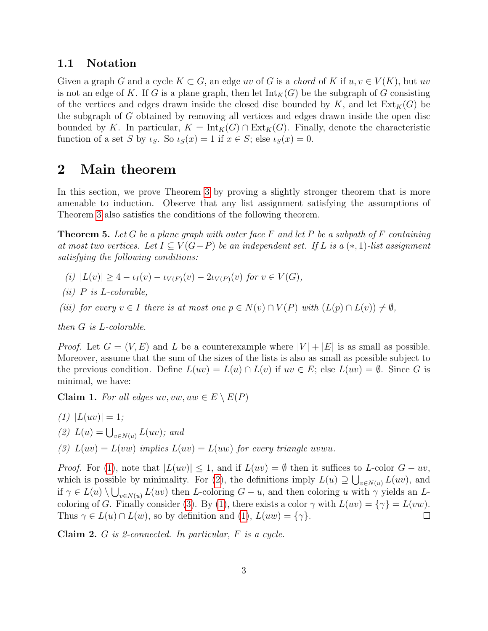## 1.1 Notation

Given a graph G and a cycle  $K \subset G$ , an edge uv of G is a chord of K if  $u, v \in V(K)$ , but uv is not an edge of K. If G is a plane graph, then let  $\text{Int}_K(G)$  be the subgraph of G consisting of the vertices and edges drawn inside the closed disc bounded by K, and let  $\text{Ext}_K(G)$  be the subgraph of G obtained by removing all vertices and edges drawn inside the open disc bounded by K. In particular,  $K = Int_K(G) \cap Ext_K(G)$ . Finally, denote the characteristic function of a set S by  $\iota_S$ . So  $\iota_S(x) = 1$  if  $x \in S$ ; else  $\iota_S(x) = 0$ .

## 2 Main theorem

In this section, we prove Theorem [3](#page-1-1) by proving a slightly stronger theorem that is more amenable to induction. Observe that any list assignment satisfying the assumptions of Theorem [3](#page-1-1) also satisfies the conditions of the following theorem.

<span id="page-2-3"></span>**Theorem 5.** Let G be a plane graph with outer face  $F$  and let  $P$  be a subpath of  $F$  containing at most two vertices. Let  $I \subseteq V(G-P)$  be an independent set. If L is a  $(*, 1)$ -list assignment satisfying the following conditions:

- <span id="page-2-7"></span>(i)  $|L(v)| \geq 4 - \iota_I(v) - \iota_{V(F)}(v) - 2\iota_{V(P)}(v)$  for  $v \in V(G)$ ,
- <span id="page-2-6"></span>(*ii*)  $P$  is  $L$ -colorable,
- <span id="page-2-4"></span>(iii) for every  $v \in I$  there is at most one  $p \in N(v) \cap V(P)$  with  $(L(p) \cap L(v)) \neq \emptyset$ ,

then G is L-colorable.

*Proof.* Let  $G = (V, E)$  and L be a counterexample where  $|V| + |E|$  is as small as possible. Moreover, assume that the sum of the sizes of the lists is also as small as possible subject to the previous condition. Define  $L(uv) = L(u) \cap L(v)$  if  $uv \in E$ ; else  $L(uv) = \emptyset$ . Since G is minimal, we have:

<span id="page-2-8"></span>Claim 1. For all edges  $uv, vw, uw \in E \setminus E(P)$ 

<span id="page-2-1"></span><span id="page-2-0"></span>(1) 
$$
|L(uv)| = 1
$$
;  
\n(2)  $L(u) = \bigcup_{v \in N(u)} L(uv)$ ; and  
\n(3)  $L(uv) = L(vw)$  implies  $L(uv) = L(uw)$  for every triangle uvwu.

<span id="page-2-2"></span>*Proof.* For [\(1\)](#page-2-0), note that  $|L(uv)| \leq 1$ , and if  $L(uv) = \emptyset$  then it suffices to L-color  $G - uv$ , which is possible by minimality. For [\(2\)](#page-2-1), the definitions imply  $L(u) \supseteq \bigcup_{v \in N(u)} L(uv)$ , and if  $\gamma \in L(u) \setminus \bigcup_{v \in N(u)} L(uv)$  then L-coloring  $G - u$ , and then coloring u with  $\gamma$  yields an L-coloring of G. Finally consider [\(3\)](#page-2-2). By [\(1\)](#page-2-0), there exists a color  $\gamma$  with  $L(uv) = {\gamma} = L(vw)$ .<br>Thus  $\gamma \in L(u) \cap L(w)$ , so by definition and (1).  $L(uw) = {\gamma}$ . Thus  $\gamma \in L(u) \cap L(w)$ , so by definition and [\(1\)](#page-2-0),  $L(uw) = {\gamma}$ .

<span id="page-2-5"></span>Claim 2.  $G$  is 2-connected. In particular,  $F$  is a cycle.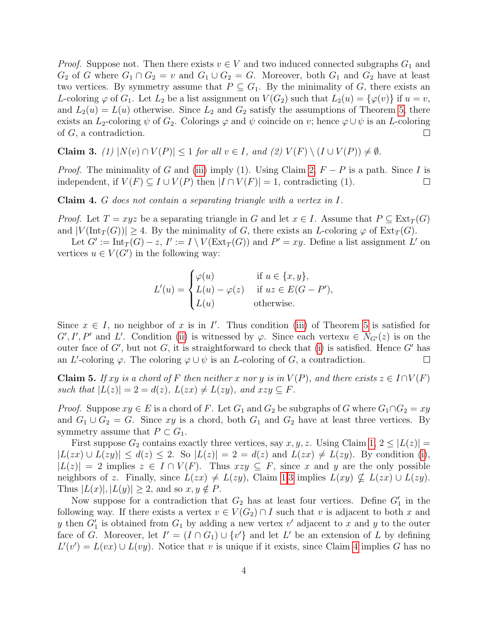*Proof.* Suppose not. Then there exists  $v \in V$  and two induced connected subgraphs  $G_1$  and  $G_2$  of G where  $G_1 \cap G_2 = v$  and  $G_1 \cup G_2 = G$ . Moreover, both  $G_1$  and  $G_2$  have at least two vertices. By symmetry assume that  $P \subseteq G_1$ . By the minimality of G, there exists an L-coloring  $\varphi$  of  $G_1$ . Let  $L_2$  be a list assignment on  $V(G_2)$  such that  $L_2(u) = {\varphi(v)}$  if  $u = v$ , and  $L_2(u) = L(u)$  otherwise. Since  $L_2$  and  $G_2$  satisfy the assumptions of Theorem [5,](#page-2-3) there exists an  $L_2$ -coloring  $\psi$  of  $G_2$ . Colorings  $\varphi$  and  $\psi$  coincide on v; hence  $\varphi \cup \psi$  is an  $L$ -coloring of  $G$ , a contradiction. of G, a contradiction.

<span id="page-3-1"></span>Claim 3. (1)  $|N(v) \cap V(P)| \le 1$  for all  $v \in I$ , and (2)  $V(F) \setminus (I \cup V(P)) \ne \emptyset$ .

*Proof.* The minimality of G and [\(iii\)](#page-2-4) imply (1). Using Claim [2,](#page-2-5)  $F - P$  is a path. Since I is independent, if  $V(F) \subset I \cup V(P)$  then  $|I \cap V(F)| = 1$ , contradicting (1). independent, if  $V(F) \subseteq I \cup V(P)$  then  $|I \cap V(F)| = 1$ , contradicting (1).

<span id="page-3-0"></span>Claim 4. G does not contain a separating triangle with a vertex in I.

*Proof.* Let  $T = xyz$  be a separating triangle in G and let  $x \in I$ . Assume that  $P \subseteq \text{Ext}_T(G)$ and  $|V(\text{Int}_T(G))| \geq 4$ . By the minimality of G, there exists an L-coloring  $\varphi$  of  $\text{Ext}_T(G)$ .

Let  $G' := \text{Int}_T(G) - z$ ,  $I' := I \setminus V(\text{Ext}_T(G))$  and  $P' = xy$ . Define a list assignment L' on vertices  $u \in V(G')$  in the following way:

$$
L'(u) = \begin{cases} \varphi(u) & \text{if } u \in \{x, y\}, \\ L(u) - \varphi(z) & \text{if } uz \in E(G - P'), \\ L(u) & \text{otherwise.} \end{cases}
$$

Since  $x \in I$ , no neighbor of x is in I'. Thus condition [\(iii\)](#page-2-4) of Theorem [5](#page-2-3) is satisfied for  $G', I', P'$  and L'. Condition [\(ii\)](#page-2-6) is witnessed by  $\varphi$ . Since each vertex  $\ell \in N_{G'}(z)$  is on the outer face of  $G'$ , but not  $G$ , it is straightforward to check that [\(i\)](#page-2-7) is satisfied. Hence  $G'$  has an L'-coloring  $\varphi$ . The coloring  $\varphi \cup \psi$  is an L-coloring of G, a contradiction.  $\Box$ 

<span id="page-3-2"></span>**Claim 5.** If xy is a chord of F then neither x nor y is in  $V(P)$ , and there exists  $z \in I \cap V(F)$ such that  $|L(z)| = 2 = d(z)$ ,  $L(zx) \neq L(zy)$ , and  $xzy \subseteq F$ .

*Proof.* Suppose  $xy \in E$  is a chord of F. Let  $G_1$  and  $G_2$  be subgraphs of G where  $G_1 \cap G_2 = xy$ and  $G_1 \cup G_2 = G$ . Since xy is a chord, both  $G_1$  and  $G_2$  have at least three vertices. By symmetry assume that  $P \subset G_1$ .

First suppose  $G_2$  contains exactly three vertices, say x, y, z. Using Claim [1,](#page-2-8)  $2 \leq |L(z)| =$  $|L(zx) \cup L(zy)| \leq d(z) \leq 2$ . So  $|L(z)| = 2 = d(z)$  and  $L(zx) \neq L(zy)$ . By condition [\(i\)](#page-2-7),  $|L(z)| = 2$  implies  $z \in I \cap V(F)$ . Thus  $xzy \subseteq F$ , since x and y are the only possible neighbors of z. Finally, since  $L(zx) \neq L(zy)$ , Claim [1](#page-2-8)[.3](#page-2-2) implies  $L(xy) \not\subset L(zx) \cup L(zy)$ . Thus  $|L(x)|, |L(y)| \geq 2$ , and so  $x, y \notin P$ .

Now suppose for a contradiction that  $G_2$  has at least four vertices. Define  $G'_1$  in the following way. If there exists a vertex  $v \in V(G_2) \cap I$  such that v is adjacent to both x and y then  $G'_1$  is obtained from  $G_1$  by adding a new vertex v' adjacent to x and y to the outer face of G. Moreover, let  $I' = (I \cap G_1) \cup \{v'\}$  and let L' be an extension of L by defining  $L'(v') = L(vx) \cup L(vy)$ . Notice that v is unique if it exists, since Claim [4](#page-3-0) implies G has no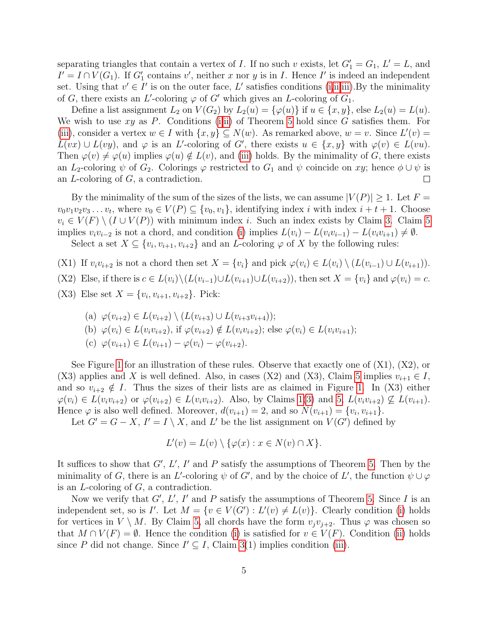separating triangles that contain a vertex of I. If no such v exists, let  $G_1' = G_1$ ,  $L' = L$ , and  $I' = I \cap V(G_1)$ . If  $G'_1$  contains v', neither x nor y is in I. Hence I' is indeed an independent set. Using that  $v' \in I'$  is on the outer face, L' satisfies conditions [\(i,](#page-2-7)[ii,](#page-2-6)[iii\)](#page-2-4). By the minimality of G, there exists an L'-coloring  $\varphi$  of G' which gives an L-coloring of  $G_1$ .

Define a list assignment  $L_2$  on  $V(G_2)$  by  $L_2(u) = {\varphi(u)}$  if  $u \in \{x, y\}$ , else  $L_2(u) = L(u)$ . We wish to use  $xy$  as P. Conditions [\(i,](#page-2-7)[ii\)](#page-2-6) of Theorem [5](#page-2-3) hold since G satisfies them. For [\(iii\)](#page-2-4), consider a vertex  $w \in I$  with  $\{x, y\} \subseteq N(w)$ . As remarked above,  $w = v$ . Since  $L'(v) =$  $L(vx) \cup L(vy)$ , and  $\varphi$  is an L'-coloring of G', there exists  $u \in \{x, y\}$  with  $\varphi(v) \in L(vu)$ . Then  $\varphi(v) \neq \varphi(u)$  implies  $\varphi(u) \notin L(v)$ , and [\(iii\)](#page-2-4) holds. By the minimality of G, there exists an  $L_2$ -coloring  $\psi$  of  $G_2$ . Colorings  $\varphi$  restricted to  $G_1$  and  $\psi$  coincide on  $xy$ ; hence  $\phi \cup \psi$  is an  $L$ -coloring of  $G$ , a contradiction. an L-coloring of G, a contradiction.

By the minimality of the sum of the sizes of the lists, we can assume  $|V(P)| \geq 1$ . Let  $F =$  $v_0v_1v_2v_3 \ldots v_t$ , where  $v_0 \in V(P) \subseteq \{v_0, v_1\}$ , identifying index i with index  $i + t + 1$ . Choose  $v_i \in V(F) \setminus (I \cup V(P))$  with minimum index i. Such an index exists by Claim [3.](#page-3-1) Claim [5](#page-3-2) implies  $v_i v_{i-2}$  is not a chord, and condition [\(i\)](#page-2-7) implies  $L(v_i) - L(v_i v_{i-1}) - L(v_i v_{i+1}) \neq \emptyset$ .

Select a set  $X \subseteq \{v_i, v_{i+1}, v_{i+2}\}\$ and an L-coloring  $\varphi$  of X by the following rules:

- (X1) If  $v_i v_{i+2}$  is not a chord then set  $X = \{v_i\}$  and pick  $\varphi(v_i) \in L(v_i) \setminus (L(v_{i-1}) \cup L(v_{i+1}))$ .
- (X2) Else, if there is  $c \in L(v_i) \setminus (L(v_{i-1}) \cup L(v_{i+1}) \cup L(v_{i+2}))$ , then set  $X = \{v_i\}$  and  $\varphi(v_i) = c$ .
- (X3) Else set  $X = \{v_i, v_{i+1}, v_{i+2}\}.$  Pick:

(a) 
$$
\varphi(v_{i+2}) \in L(v_{i+2}) \setminus (L(v_{i+3}) \cup L(v_{i+3}v_{i+4}));
$$

- (b)  $\varphi(v_i) \in L(v_i v_{i+2}),$  if  $\varphi(v_{i+2}) \notin L(v_i v_{i+2});$  else  $\varphi(v_i) \in L(v_i v_{i+1});$
- (c)  $\varphi(v_{i+1}) \in L(v_{i+1}) \varphi(v_i) \varphi(v_{i+2}).$

See Figure [1](#page-5-0) for an illustration of these rules. Observe that exactly one of (X1), (X2), or (X3) applies and X is well defined. Also, in cases (X2) and (X3), Claim [5](#page-3-2) implies  $v_{i+1} \in I$ , and so  $v_{i+2} \notin I$ . Thus the sizes of their lists are as claimed in Figure [1.](#page-5-0) In (X3) either  $\varphi(v_i) \in L(v_i v_{i+2})$  or  $\varphi(v_{i+2}) \in L(v_i v_{i+2})$ . Also, by Claims [1\(](#page-2-8)[3\)](#page-2-2) and [5,](#page-3-2)  $L(v_i v_{i+2}) \nsubseteq L(v_{i+1})$ . Hence  $\varphi$  is also well defined. Moreover,  $d(v_{i+1}) = 2$ , and so  $N(v_{i+1}) = \{v_i, v_{i+1}\}.$ 

Let  $G' = G - X$ ,  $I' = I \setminus X$ , and L' be the list assignment on  $V(G')$  defined by

$$
L'(v) = L(v) \setminus \{ \varphi(x) : x \in N(v) \cap X \}.
$$

It suffices to show that  $G'$ ,  $L'$ ,  $I'$  and  $P$  satisfy the assumptions of Theorem [5.](#page-2-3) Then by the minimality of G, there is an L'-coloring  $\psi$  of G', and by the choice of L', the function  $\psi \cup \varphi$ is an L-coloring of G, a contradiction.

Now we verify that  $G'$ ,  $L'$ ,  $I'$  and  $P$  satisfy the assumptions of Theorem [5.](#page-2-3) Since  $I$  is an independent set, so is  $I'$ . Let  $M = \{v \in V(G') : L'(v) \neq L(v)\}$ . Clearly condition [\(i\)](#page-2-7) holds for vertices in  $V \setminus M$ . By Claim [5,](#page-3-2) all chords have the form  $v_i v_{i+2}$ . Thus  $\varphi$  was chosen so that  $M \cap V(F) = \emptyset$ . Hence the condition [\(i\)](#page-2-7) is satisfied for  $v \in V(F)$ . Condition [\(ii\)](#page-2-6) holds since P did not change. Since  $I' \subseteq I$ , Claim [3\(](#page-3-1)1) implies condition [\(iii\)](#page-2-4).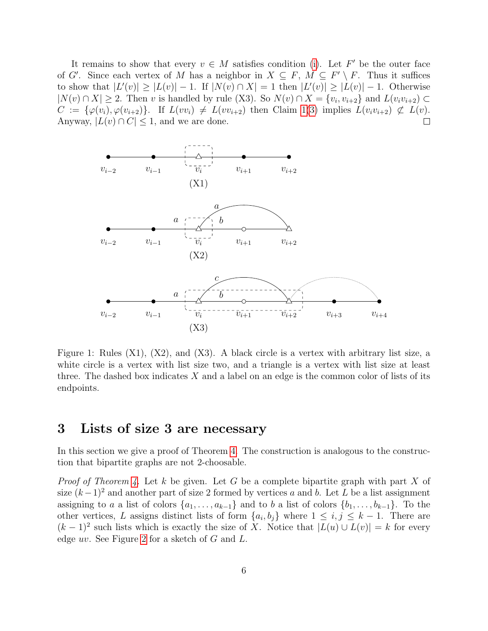It remains to show that every  $v \in M$  satisfies condition [\(i\)](#page-2-7). Let  $F'$  be the outer face of G'. Since each vertex of M has a neighbor in  $X \subseteq F$ ,  $M \subseteq F' \setminus F$ . Thus it suffices to show that  $|L'(v)| \ge |L(v)| - 1$ . If  $|N(v) \cap X| = 1$  then  $|L'(v)| \ge |L(v)| - 1$ . Otherwise  $|N(v) \cap X| \geq 2$ . Then v is handled by rule (X3). So  $N(v) \cap X = \{v_i, v_{i+2}\}$  and  $L(v_i v_{i+2}) \subset$  $C := \{\varphi(v_i), \varphi(v_{i+2})\}.$  If  $L(v_i) \neq L(v_{i+2})$  then Claim [1](#page-2-8)[\(3\)](#page-2-2) implies  $L(v_i v_{i+2}) \not\subset L(v).$ <br>Anyway,  $|L(v) \cap C| \leq 1$ , and we are done. Anyway,  $|L(v) \cap C| \leq 1$ , and we are done.



<span id="page-5-0"></span>Figure 1: Rules (X1), (X2), and (X3). A black circle is a vertex with arbitrary list size, a white circle is a vertex with list size two, and a triangle is a vertex with list size at least three. The dashed box indicates  $X$  and a label on an edge is the common color of lists of its endpoints.

## 3 Lists of size 3 are necessary

In this section we give a proof of Theorem [4.](#page-1-2) The construction is analogous to the construction that bipartite graphs are not 2-choosable.

*Proof of Theorem [4.](#page-1-2)* Let k be given. Let G be a complete bipartite graph with part X of size  $(k-1)^2$  and another part of size 2 formed by vertices a and b. Let L be a list assignment assigning to a a list of colors  $\{a_1, \ldots, a_{k-1}\}\$  and to b a list of colors  $\{b_1, \ldots, b_{k-1}\}\$ . To the other vertices, L assigns distinct lists of form  $\{a_i, b_j\}$  where  $1 \leq i, j \leq k-1$ . There are  $(k-1)^2$  such lists which is exactly the size of X. Notice that  $|L(u) \cup L(v)| = k$  for every edge uv. See Figure [2](#page-6-8) for a sketch of G and L.